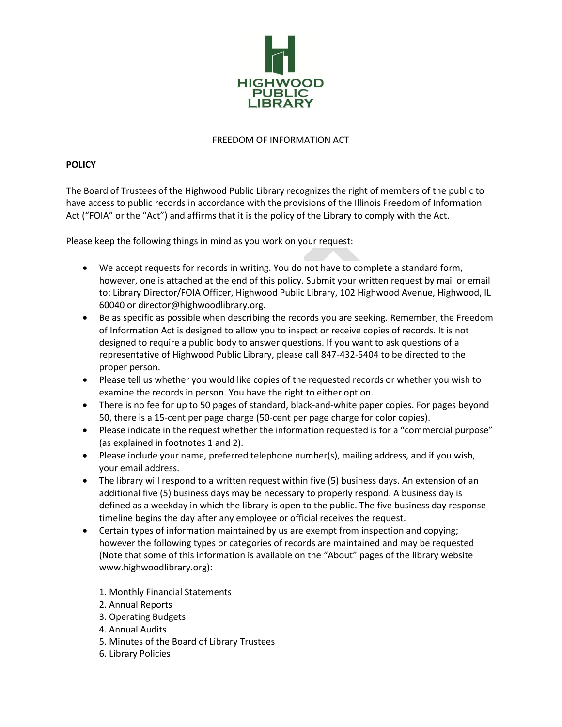

## FREEDOM OF INFORMATION ACT

## **POLICY**

The Board of Trustees of the Highwood Public Library recognizes the right of members of the public to have access to public records in accordance with the provisions of the Illinois Freedom of Information Act ("FOIA" or the "Act") and affirms that it is the policy of the Library to comply with the Act.

Please keep the following things in mind as you work on your request:

- We accept requests for records in writing. You do not have to complete a standard form, however, one is attached at the end of this policy. Submit your written request by mail or email to: Library Director/FOIA Officer, Highwood Public Library, 102 Highwood Avenue, Highwood, IL 60040 or director@highwoodlibrary.org.
- Be as specific as possible when describing the records you are seeking. Remember, the Freedom of Information Act is designed to allow you to inspect or receive copies of records. It is not designed to require a public body to answer questions. If you want to ask questions of a representative of Highwood Public Library, please call 847-432-5404 to be directed to the proper person.
- Please tell us whether you would like copies of the requested records or whether you wish to examine the records in person. You have the right to either option.
- There is no fee for up to 50 pages of standard, black-and-white paper copies. For pages beyond 50, there is a 15-cent per page charge (50-cent per page charge for color copies).
- Please indicate in the request whether the information requested is for a "commercial purpose" (as explained in footnotes 1 and 2).
- Please include your name, preferred telephone number(s), mailing address, and if you wish, your email address.
- The library will respond to a written request within five (5) business days. An extension of an additional five (5) business days may be necessary to properly respond. A business day is defined as a weekday in which the library is open to the public. The five business day response timeline begins the day after any employee or official receives the request.
- Certain types of information maintained by us are exempt from inspection and copying; however the following types or categories of records are maintained and may be requested (Note that some of this information is available on the "About" pages of the library website www.highwoodlibrary.org):
	- 1. Monthly Financial Statements
	- 2. Annual Reports
	- 3. Operating Budgets
	- 4. Annual Audits
	- 5. Minutes of the Board of Library Trustees
	- 6. Library Policies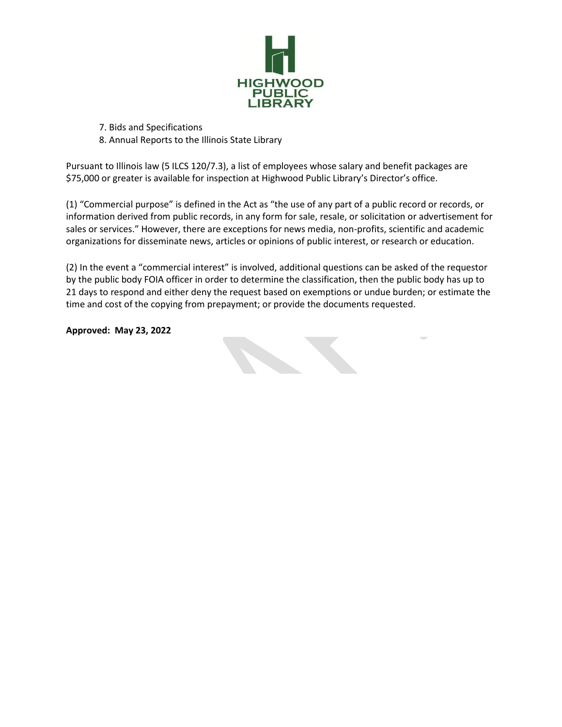

- 7. Bids and Specifications
- 8. Annual Reports to the Illinois State Library

Pursuant to Illinois law (5 ILCS 120/7.3), a list of employees whose salary and benefit packages are \$75,000 or greater is available for inspection at Highwood Public Library's Director's office.

(1) "Commercial purpose" is defined in the Act as "the use of any part of a public record or records, or information derived from public records, in any form for sale, resale, or solicitation or advertisement for sales or services." However, there are exceptions for news media, non-profits, scientific and academic organizations for disseminate news, articles or opinions of public interest, or research or education.

(2) In the event a "commercial interest" is involved, additional questions can be asked of the requestor by the public body FOIA officer in order to determine the classification, then the public body has up to 21 days to respond and either deny the request based on exemptions or undue burden; or estimate the time and cost of the copying from prepayment; or provide the documents requested.

**Approved: May 23, 2022**